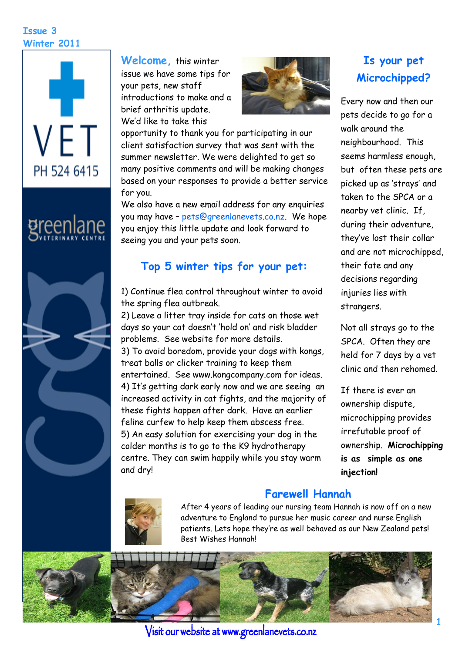#### **Issue 3 Winter 2011**



# greenlane



**Welcome,** this winter issue we have some tips for your pets, new staff introductions to make and a brief arthritis update. We"d like to take this



opportunity to thank you for participating in our client satisfaction survey that was sent with the summer newsletter. We were delighted to get so many positive comments and will be making changes based on your responses to provide a better service for you.

We also have a new email address for any enquiries you may have – [pets@greenlanevets.co.nz.](mailto:pets@greenlanevets.co.nz) We hope you enjoy this little update and look forward to seeing you and your pets soon.

#### **Top 5 winter tips for your pet:**

1) Continue flea control throughout winter to avoid the spring flea outbreak.

2) Leave a litter tray inside for cats on those wet days so your cat doesn"t "hold on" and risk bladder problems. See website for more details. 3) To avoid boredom, provide your dogs with kongs, treat balls or clicker training to keep them entertained. See www.kongcompany.com for ideas. 4) It"s getting dark early now and we are seeing an increased activity in cat fights, and the majority of these fights happen after dark. Have an earlier feline curfew to help keep them abscess free. 5) An easy solution for exercising your dog in the colder months is to go to the K9 hydrotherapy centre. They can swim happily while you stay warm and dry!

# **Is your pet Microchipped?**

Every now and then our pets decide to go for a walk around the neighbourhood. This seems harmless enough, but often these pets are picked up as "strays" and taken to the SPCA or a nearby vet clinic. If, during their adventure, they"ve lost their collar and are not microchipped, their fate and any decisions regarding injuries lies with strangers.

Not all strays go to the SPCA. Often they are held for 7 days by a vet clinic and then rehomed.

If there is ever an ownership dispute, microchipping provides irrefutable proof of ownership. **Microchipping is as simple as one injection!** 



## **Farewell Hannah**

After 4 years of leading our nursing team Hannah is now off on a new adventure to England to pursue her music career and nurse English patients. Lets hope they"re as well behaved as our New Zealand pets! Best Wishes Hannah!



Visit our website at www.greenlanevets.co.nz